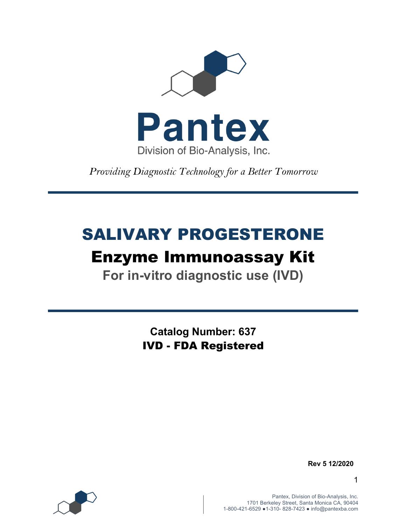

*Providing Diagnostic Technology for a Better Tomorrow* 

# SALIVARY PROGESTERONE

## Enzyme Immunoassay Kit

**For in-vitro diagnostic use (IVD)**

**Catalog Number: 637** IVD - FDA Registered



 **Rev 5 12/2020**

1

Pantex, Division of Bio-Analysis, Inc. 1701 Berkeley Street, Santa Monica CA, 90404 1-800-421-6529 ●1-310- 828-7423 ● info@pantexba.com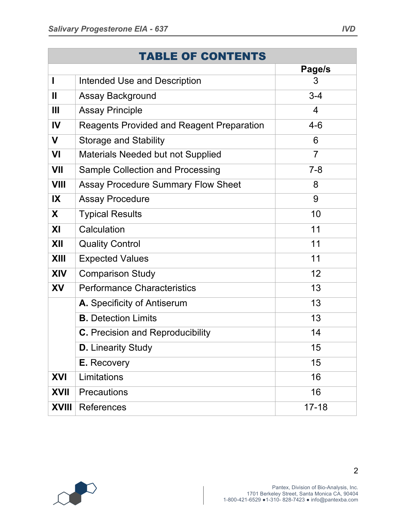|              | <b>TABLE OF CONTENTS</b>                         |                |
|--------------|--------------------------------------------------|----------------|
|              |                                                  | Page/s         |
| ı            | <b>Intended Use and Description</b>              | 3              |
| $\mathbf{I}$ | Assay Background                                 | $3 - 4$        |
| Ш            | <b>Assay Principle</b>                           | 4              |
| IV           | <b>Reagents Provided and Reagent Preparation</b> | $4 - 6$        |
| V            | <b>Storage and Stability</b>                     | 6              |
| VI           | Materials Needed but not Supplied                | $\overline{7}$ |
| <b>VII</b>   | <b>Sample Collection and Processing</b>          | $7 - 8$        |
| <b>VIII</b>  | <b>Assay Procedure Summary Flow Sheet</b>        | 8              |
| IX           | <b>Assay Procedure</b>                           | 9              |
| X            | <b>Typical Results</b>                           | 10             |
| XI           | Calculation                                      | 11             |
| XII          | <b>Quality Control</b>                           | 11             |
| <b>XIII</b>  | <b>Expected Values</b>                           | 11             |
| <b>XIV</b>   | <b>Comparison Study</b>                          | 12             |
| XV           | <b>Performance Characteristics</b>               | 13             |
|              | A. Specificity of Antiserum                      | 13             |
|              | <b>B.</b> Detection Limits                       | 13             |
|              | <b>C.</b> Precision and Reproducibility          | 14             |
|              | <b>D.</b> Linearity Study                        | 15             |
|              | E. Recovery                                      | 15             |
| <b>XVI</b>   | Limitations                                      | 16             |
| <b>XVII</b>  | Precautions                                      | 16             |
| <b>XVIII</b> | <b>References</b>                                | $17 - 18$      |

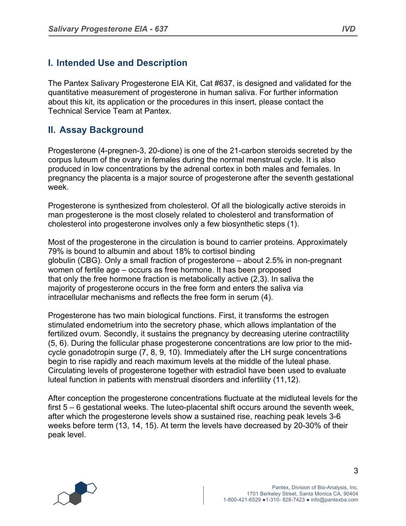## **I. Intended Use and Description**

The Pantex Salivary Progesterone EIA Kit, Cat #637, is designed and validated for the quantitative measurement of progesterone in human saliva. For further information about this kit, its application or the procedures in this insert, please contact the Technical Service Team at Pantex.

#### **II. Assay Background**

Progesterone (4-pregnen-3, 20-dione) is one of the 21-carbon steroids secreted by the corpus luteum of the ovary in females during the normal menstrual cycle. It is also produced in low concentrations by the adrenal cortex in both males and females. In pregnancy the placenta is a major source of progesterone after the seventh gestational week.

Progesterone is synthesized from cholesterol. Of all the biologically active steroids in man progesterone is the most closely related to cholesterol and transformation of cholesterol into progesterone involves only a few biosynthetic steps (1).

Most of the progesterone in the circulation is bound to carrier proteins. Approximately 79% is bound to albumin and about 18% to cortisol binding globulin (CBG). Only a small fraction of progesterone – about 2.5% in non-pregnant women of fertile age – occurs as free hormone. It has been proposed that only the free hormone fraction is metabolically active (2,3). In saliva the majority of progesterone occurs in the free form and enters the saliva via intracellular mechanisms and reflects the free form in serum (4).

Progesterone has two main biological functions. First, it transforms the estrogen stimulated endometrium into the secretory phase, which allows implantation of the fertilized ovum. Secondly, it sustains the pregnancy by decreasing uterine contractility (5, 6). During the follicular phase progesterone concentrations are low prior to the midcycle gonadotropin surge (7, 8, 9, 10). Immediately after the LH surge concentrations begin to rise rapidly and reach maximum levels at the middle of the luteal phase. Circulating levels of progesterone together with estradiol have been used to evaluate luteal function in patients with menstrual disorders and infertility (11,12).

After conception the progesterone concentrations fluctuate at the midluteal levels for the first 5 – 6 gestational weeks. The luteo-placental shift occurs around the seventh week, after which the progesterone levels show a sustained rise, reaching peak levels 3-6 weeks before term (13, 14, 15). At term the levels have decreased by 20-30% of their peak level.

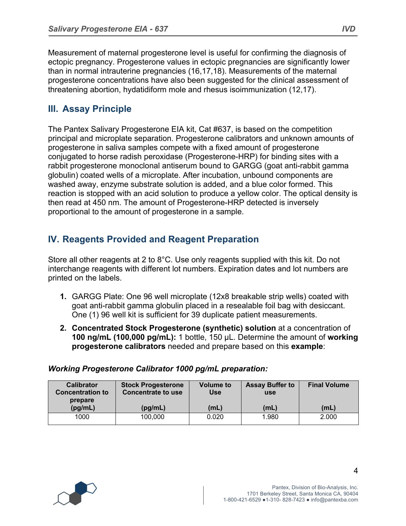Measurement of maternal progesterone level is useful for confirming the diagnosis of ectopic pregnancy. Progesterone values in ectopic pregnancies are significantly lower than in normal intrauterine pregnancies (16,17,18). Measurements of the maternal progesterone concentrations have also been suggested for the clinical assessment of threatening abortion, hydatidiform mole and rhesus isoimmunization (12,17).

## **III. Assay Principle**

The Pantex Salivary Progesterone EIA kit, Cat #637, is based on the competition principal and microplate separation. Progesterone calibrators and unknown amounts of progesterone in saliva samples compete with a fixed amount of progesterone conjugated to horse radish peroxidase (Progesterone-HRP) for binding sites with a rabbit progesterone monoclonal antiserum bound to GARGG (goat anti-rabbit gamma globulin) coated wells of a microplate. After incubation, unbound components are washed away, enzyme substrate solution is added, and a blue color formed. This reaction is stopped with an acid solution to produce a yellow color. The optical density is then read at 450 nm. The amount of Progesterone-HRP detected is inversely proportional to the amount of progesterone in a sample.

## **IV. Reagents Provided and Reagent Preparation**

Store all other reagents at 2 to 8°C. Use only reagents supplied with this kit. Do not interchange reagents with different lot numbers. Expiration dates and lot numbers are printed on the labels.

- **1.** GARGG Plate: One 96 well microplate (12x8 breakable strip wells) coated with goat anti-rabbit gamma globulin placed in a resealable foil bag with desiccant. One (1) 96 well kit is sufficient for 39 duplicate patient measurements.
- **2. Concentrated Stock Progesterone (synthetic) solution** at a concentration of **100 ng/mL (100,000 pg/mL):** 1 bottle, 150 µL. Determine the amount of **working progesterone calibrators** needed and prepare based on this **example**:

| <b>Calibrator</b><br><b>Concentration to</b><br>prepare | <b>Stock Progesterone</b><br><b>Concentrate to use</b> | <b>Volume to</b><br>Use | <b>Assay Buffer to</b><br><b>use</b> | <b>Final Volume</b> |
|---------------------------------------------------------|--------------------------------------------------------|-------------------------|--------------------------------------|---------------------|
| (pq/mL)                                                 | (pg/mL)                                                | (mL)                    | (mL)                                 | (mL)                |
| 1000                                                    | 100,000                                                | 0.020                   | 1.980                                | 2.000               |

#### *Working Progesterone Calibrator 1000 pg/mL preparation:*

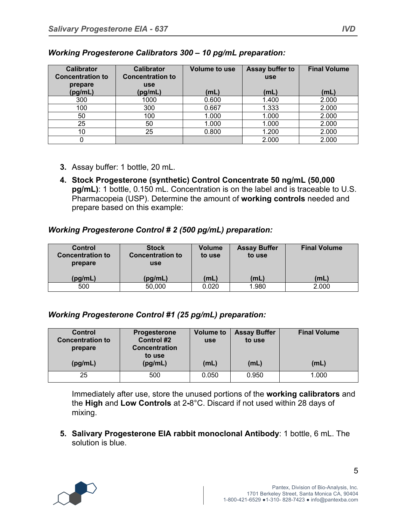| <b>Calibrator</b><br><b>Concentration to</b> | <b>Calibrator</b><br><b>Concentration to</b> | Volume to use | <b>Assay buffer to</b><br><b>use</b> | <b>Final Volume</b> |
|----------------------------------------------|----------------------------------------------|---------------|--------------------------------------|---------------------|
| prepare<br>(pg/mL)                           | <b>use</b><br>(pg/mL)                        | (mL)          | (mL)                                 | (mL)                |
| 300                                          | 1000                                         | 0.600         | 1.400                                | 2.000               |
| 100                                          | 300                                          | 0.667         | 1.333                                | 2.000               |
| 50                                           | 100                                          | 1.000         | 1.000                                | 2.000               |
| 25                                           | 50                                           | 1.000         | 1.000                                | 2.000               |
| 10                                           | 25                                           | 0.800         | 1.200                                | 2.000               |
|                                              |                                              |               | 2.000                                | 2.000               |

#### *Working Progesterone Calibrators 300 – 10 pg/mL preparation:*

- **3.** Assay buffer: 1 bottle, 20 mL.
- **4. Stock Progesterone (synthetic) Control Concentrate 50 ng/mL (50,000 pg/mL)**: 1 bottle, 0.150 mL. Concentration is on the label and is traceable to U.S. Pharmacopeia (USP). Determine the amount of **working controls** needed and prepare based on this example:

#### *Working Progesterone Control # 2 (500 pg/mL) preparation:*

| Control<br><b>Concentration to</b><br>prepare | <b>Stock</b><br><b>Concentration to</b><br>use | Volume<br>to use | <b>Assay Buffer</b><br>to use | <b>Final Volume</b> |
|-----------------------------------------------|------------------------------------------------|------------------|-------------------------------|---------------------|
| (pg/mL)                                       | (pg/mL)                                        | (mL)             | (mL)                          | (mL)                |
| 500                                           | 50,000                                         | 0.020            | 1.980                         | 2.000               |

#### *Working Progesterone Control #1 (25 pg/mL) preparation:*

| <b>Control</b><br><b>Concentration to</b><br>prepare<br>(pg/mL) | <b>Progesterone</b><br><b>Control #2</b><br><b>Concentration</b><br>to use<br>(pg/mL) | <b>Volume to</b><br><b>use</b><br>(mL) | <b>Assay Buffer</b><br>to use<br>(mL) | <b>Final Volume</b><br>(mL) |
|-----------------------------------------------------------------|---------------------------------------------------------------------------------------|----------------------------------------|---------------------------------------|-----------------------------|
| 25                                                              | 500                                                                                   | 0.050                                  | 0.950                                 | 1.000                       |

Immediately after use, store the unused portions of the **working calibrators** and the **High** and **Low Controls** at 2**-**8°C. Discard if not used within 28 days of mixing.

**5. Salivary Progesterone EIA rabbit monoclonal Antibody**: 1 bottle, 6 mL. The solution is blue.

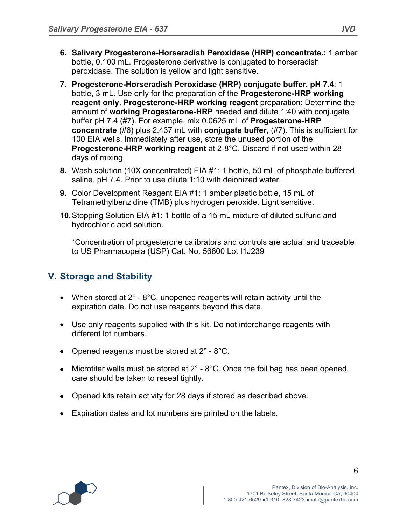- **6. Salivary Progesterone-Horseradish Peroxidase (HRP) concentrate.:** 1 amber bottle, 0.100 mL. Progesterone derivative is conjugated to horseradish peroxidase. The solution is yellow and light sensitive.
- **7. Progesterone-Horseradish Peroxidase (HRP) conjugate buffer, pH 7.4**: 1 bottle, 3 mL. Use only for the preparation of the **Progesterone-HRP working reagent only**. **Progesterone-HRP working reagent** preparation: Determine the amount of **working Progesterone-HRP** needed and dilute 1:40 with conjugate buffer pH 7.4 (#7). For example, mix 0.0625 mL of **Progesterone-HRP concentrate** (#6) plus 2.437 mL with **conjugate buffer,** (#7). This is sufficient for 100 EIA wells. Immediately after use, store the unused portion of the **Progesterone-HRP working reagent** at 2-8°C. Discard if not used within 28 days of mixing.
- **8.** Wash solution (10X concentrated) EIA #1: 1 bottle, 50 mL of phosphate buffered saline, pH 7.4. Prior to use dilute 1:10 with deionized water.
- **9.** Color Development Reagent EIA #1: 1 amber plastic bottle, 15 mL of Tetramethylbenzidine (TMB) plus hydrogen peroxide. Light sensitive.
- **10.**Stopping Solution EIA #1: 1 bottle of a 15 mL mixture of diluted sulfuric and hydrochloric acid solution.

\*Concentration of progesterone calibrators and controls are actual and traceable to US Pharmacopeia (USP) Cat. No. 56800 Lot I1J239

## **V. Storage and Stability**

- When stored at  $2^\circ$   $8^\circ$ C, unopened reagents will retain activity until the expiration date. Do not use reagents beyond this date.
- Use only reagents supplied with this kit. Do not interchange reagents with different lot numbers.
- Opened reagents must be stored at  $2^{\circ}$  8°C.
- Microtiter wells must be stored at  $2^\circ$   $8^\circ$ C. Once the foil bag has been opened, care should be taken to reseal tightly.
- Opened kits retain activity for 28 days if stored as described above.
- Expiration dates and lot numbers are printed on the labels.

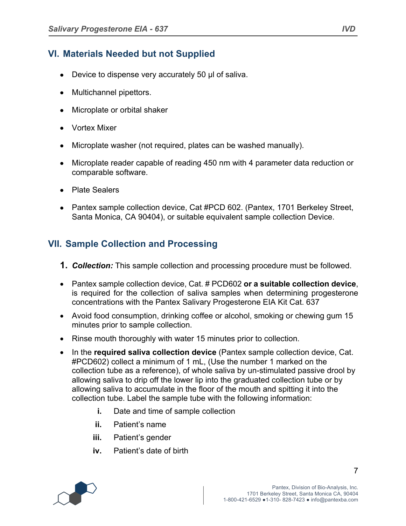## **VI. Materials Needed but not Supplied**

- Device to dispense very accurately 50 µl of saliva.
- Multichannel pipettors.
- Microplate or orbital shaker
- Vortex Mixer
- Microplate washer (not required, plates can be washed manually).
- Microplate reader capable of reading 450 nm with 4 parameter data reduction or comparable software.
- Plate Sealers
- Pantex sample collection device, Cat #PCD 602. (Pantex, 1701 Berkeley Street, Santa Monica, CA 90404), or suitable equivalent sample collection Device.

## **VII. Sample Collection and Processing**

- **1.** *Collection:* This sample collection and processing procedure must be followed.
- Pantex sample collection device, Cat. # PCD602 **or a suitable collection device**, is required for the collection of saliva samples when determining progesterone concentrations with the Pantex Salivary Progesterone EIA Kit Cat. 637
- Avoid food consumption, drinking coffee or alcohol, smoking or chewing gum 15 minutes prior to sample collection.
- Rinse mouth thoroughly with water 15 minutes prior to collection.
- In the **required saliva collection device** (Pantex sample collection device, Cat. #PCD602) collect a minimum of 1 mL, (Use the number 1 marked on the collection tube as a reference), of whole saliva by un-stimulated passive drool by allowing saliva to drip off the lower lip into the graduated collection tube or by allowing saliva to accumulate in the floor of the mouth and spitting it into the collection tube. Label the sample tube with the following information:
	- **i.** Date and time of sample collection
	- **ii.** Patient's name
	- **iii.** Patient's gender
	- **iv.** Patient's date of birth

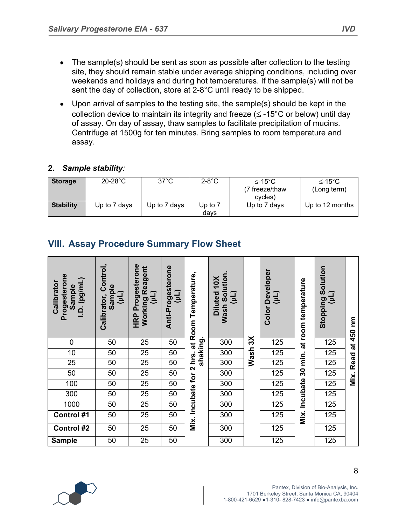- The sample(s) should be sent as soon as possible after collection to the testing site, they should remain stable under average shipping conditions, including over weekends and holidays and during hot temperatures. If the sample(s) will not be sent the day of collection, store at 2-8°C until ready to be shipped.
- Upon arrival of samples to the testing site, the sample(s) should be kept in the collection device to maintain its integrity and freeze ( $\leq$  -15°C or below) until day of assay. On day of assay, thaw samples to facilitate precipitation of mucins. Centrifuge at 1500g for ten minutes. Bring samples to room temperature and assay.

#### **2.** *Sample stability:*

| <b>Storage</b>   | $20-28$ °C   | $37^{\circ}$ C | $2-8$ °C          | $\leq$ -15°C<br>(7 freeze/thaw<br>cycles) | ≤-15°C<br>(Long term) |
|------------------|--------------|----------------|-------------------|-------------------------------------------|-----------------------|
| <b>Stability</b> | Up to 7 days | Up to 7 days   | Up to $7$<br>davs | Up to 7 days                              | Up to 12 months       |

## **VIII. Assay Procedure Summary Flow Sheet**

| Progesterone<br>I.D. (pg/mL)<br>Calibrator<br>Sample | Control,<br>Sample<br>(11)<br>Calibrator, | Progesterone<br>Working Reagent<br>(µL)<br>HRP | Anti-Progesterone<br>(11) | at Room Temperature, | Solution.<br>Diluted 10X<br>(11)<br>Wash |              | Developer (µL)<br>(µL)<br>Color | min. at room temperature | Stopping Solution<br>(Tn) | ξ      |
|------------------------------------------------------|-------------------------------------------|------------------------------------------------|---------------------------|----------------------|------------------------------------------|--------------|---------------------------------|--------------------------|---------------------------|--------|
| $\mathbf 0$                                          | 50                                        | 25                                             | 50                        | shaking.             | 300                                      | $\mathsf{X}$ | 125                             |                          | 125                       | at 450 |
| 10                                                   | 50                                        | 25                                             | 50                        | hrs.                 | 300                                      | Wash         | 125                             |                          | 125                       |        |
| 25                                                   | 50                                        | 25                                             | 50                        |                      | 300                                      |              | 125                             |                          | 125                       | Read   |
| 50                                                   | 50                                        | 25                                             | 50                        |                      | 300                                      |              | 125                             | 30                       | 125                       | Mix.   |
| 100                                                  | 50                                        | 25                                             | 50                        |                      | 300                                      |              | 125                             |                          | 125                       |        |
| 300                                                  | 50                                        | 25                                             | 50                        |                      | 300                                      |              | 125                             | Incubate                 | 125                       |        |
| 1000                                                 | 50                                        | 25                                             | 50                        |                      | 300                                      |              | 125                             |                          | 125                       |        |
| Control #1                                           | 50                                        | 25                                             | 50                        | Mix. Incubate for 2  | 300                                      |              | 125                             | Mix.                     | 125                       |        |
| <b>Control #2</b>                                    | 50                                        | 25                                             | 50                        |                      | 300                                      |              | 125                             |                          | 125                       |        |
| <b>Sample</b>                                        | 50                                        | 25                                             | 50                        |                      | 300                                      |              | 125                             |                          | 125                       |        |

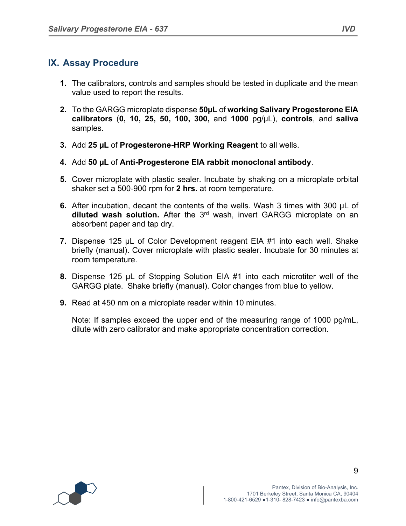## **IX. Assay Procedure**

- **1.** The calibrators, controls and samples should be tested in duplicate and the mean value used to report the results.
- **2.** To the GARGG microplate dispense **50µL** of **working Salivary Progesterone EIA calibrators** (**0, 10, 25, 50, 100, 300,** and **1000** pg/µL), **controls**, and **saliva** samples.
- **3.** Add **25 µL** of **Progesterone-HRP Working Reagent** to all wells.
- **4.** Add **50 µL** of **Anti-Progesterone EIA rabbit monoclonal antibody**.
- **5.** Cover microplate with plastic sealer. Incubate by shaking on a microplate orbital shaker set a 500-900 rpm for **2 hrs.** at room temperature.
- **6.** After incubation, decant the contents of the wells. Wash 3 times with 300 µL of **diluted wash solution.** After the 3rd wash, invert GARGG microplate on an absorbent paper and tap dry.
- **7.** Dispense 125 µL of Color Development reagent EIA #1 into each well. Shake briefly (manual). Cover microplate with plastic sealer. Incubate for 30 minutes at room temperature.
- **8.** Dispense 125 µL of Stopping Solution EIA #1 into each microtiter well of the GARGG plate. Shake briefly (manual). Color changes from blue to yellow.
- **9.** Read at 450 nm on a microplate reader within 10 minutes.

Note: If samples exceed the upper end of the measuring range of 1000 pg/mL, dilute with zero calibrator and make appropriate concentration correction.

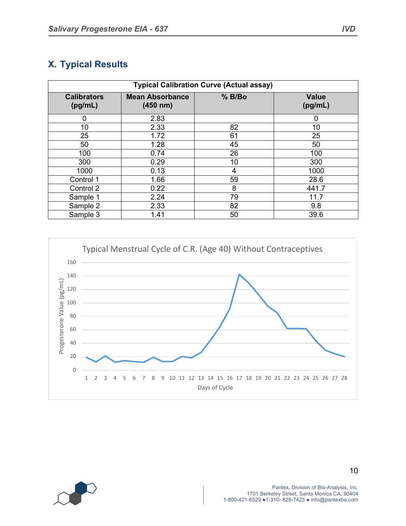## **X. Typical Results**

| <b>Typical Calibration Curve (Actual assay)</b> |                                    |        |                         |  |  |
|-------------------------------------------------|------------------------------------|--------|-------------------------|--|--|
| <b>Calibrators</b><br>(pg/mL)                   | <b>Mean Absorbance</b><br>(450 nm) | % B/Bo | <b>Value</b><br>(pg/mL) |  |  |
| 0                                               | 2.83                               |        | 0                       |  |  |
| 10                                              | 2.33                               | 82     | 10                      |  |  |
| 25                                              | 1.72                               | 61     | 25                      |  |  |
| 50                                              | 1.28                               | 45     | 50                      |  |  |
| 100                                             | 0.74                               | 26     | 100                     |  |  |
| 300                                             | 0.29                               | 10     | 300                     |  |  |
| 1000                                            | 0.13                               | 4      | 1000                    |  |  |
| Control 1                                       | 1.66                               | 59     | 28.6                    |  |  |
| Control 2                                       | 0.22                               | 8      | 441.7                   |  |  |
| Sample 1                                        | 2.24                               | 79     | 11.7                    |  |  |
| Sample 2                                        | 2.33                               | 82     | 9.8                     |  |  |
| Sample 3                                        | 1.41                               | 50     | 39.6                    |  |  |



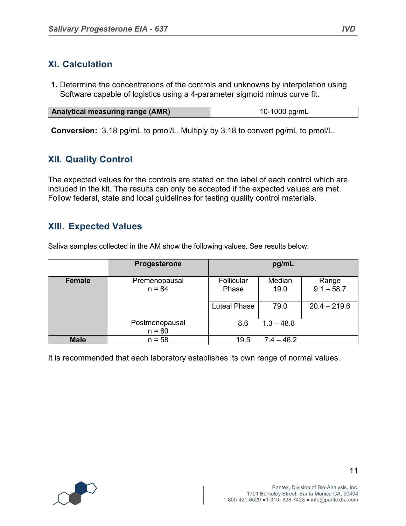#### **XI. Calculation**

**1.** Determine the concentrations of the controls and unknowns by interpolation using Software capable of logistics using a 4-parameter sigmoid minus curve fit.

| <b>Analytical measuring range (AMR)</b> | 10-1000 pg/mL |
|-----------------------------------------|---------------|

**Conversion:** 3.18 pg/mL to pmol/L. Multiply by 3.18 to convert pg/mL to pmol/L.

## **XII. Quality Control**

The expected values for the controls are stated on the label of each control which are included in the kit. The results can only be accepted if the expected values are met. Follow federal, state and local guidelines for testing quality control materials.

#### **XIII. Expected Values**

Saliva samples collected in the AM show the following values. See results below:

|             | <b>Progesterone</b>        |                     | pg/mL          |                       |
|-------------|----------------------------|---------------------|----------------|-----------------------|
| Female      | Premenopausal<br>$n = 84$  | Follicular<br>Phase | Median<br>19.0 | Range<br>$9.1 - 58.7$ |
|             |                            | <b>Luteal Phase</b> | 79.0           | $20.4 - 219.6$        |
|             | Postmenopausal<br>$n = 60$ | 8.6                 | $1.3 - 48.8$   |                       |
| <b>Male</b> | $n = 58$                   | 19.5                | $7.4 - 46.2$   |                       |

It is recommended that each laboratory establishes its own range of normal values.

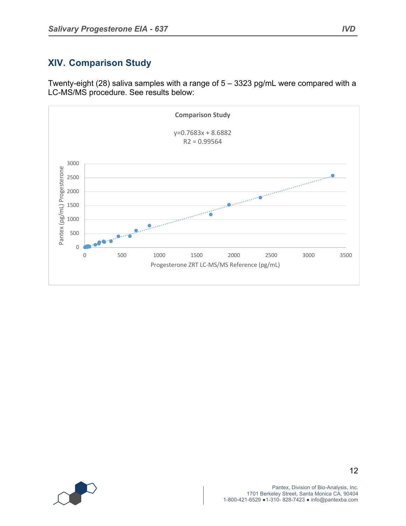## **XIV. Comparison Study**

Twenty-eight (28) saliva samples with a range of 5 – 3323 pg/mL were compared with a LC-MS/MS procedure. See results below:



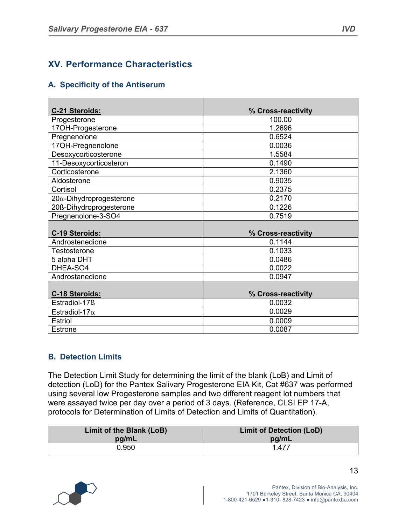## **XV. Performance Characteristics**

#### **A. Specificity of the Antiserum**

| C-21 Steroids:                  | % Cross-reactivity |
|---------------------------------|--------------------|
| Progesterone                    | 100.00             |
| 17OH-Progesterone               | 1.2696             |
| Pregnenolone                    | 0.6524             |
| 17OH-Pregnenolone               | 0.0036             |
| Desoxycorticosterone            | 1.5584             |
| 11-Desoxycorticosteron          | 0.1490             |
| Corticosterone                  | 2.1360             |
| Aldosterone                     | 0.9035             |
| Cortisol                        | 0.2375             |
| $20\alpha$ -Dihydroprogesterone | 0.2170             |
| 20ß-Dihydroprogesterone         | 0.1226             |
| Pregnenolone-3-SO4              | 0.7519             |
|                                 |                    |
| C-19 Steroids:                  | % Cross-reactivity |
| Androstenedione                 | 0.1144             |
| Testosterone                    | 0.1033             |
| 5 alpha DHT                     | 0.0486             |
| DHEA-SO4                        | 0.0022             |
| Androstanedione                 | 0.0947             |
|                                 |                    |
| C-18 Steroids:                  | % Cross-reactivity |
| Estradiol-17ß                   | 0.0032             |
| Estradiol-17 $\alpha$           | 0.0029             |
| <b>Estriol</b>                  | 0.0009             |
| <b>Estrone</b>                  | 0.0087             |

#### **B. Detection Limits**

The Detection Limit Study for determining the limit of the blank (LoB) and Limit of detection (LoD) for the Pantex Salivary Progesterone EIA Kit, Cat #637 was performed using several low Progesterone samples and two different reagent lot numbers that were assayed twice per day over a period of 3 days. (Reference, CLSI EP 17-A, protocols for Determination of Limits of Detection and Limits of Quantitation).

| Limit of the Blank (LoB) | <b>Limit of Detection (LoD)</b> |
|--------------------------|---------------------------------|
| pg/mL                    | pg/mL                           |
| 0.950                    | 1.477                           |

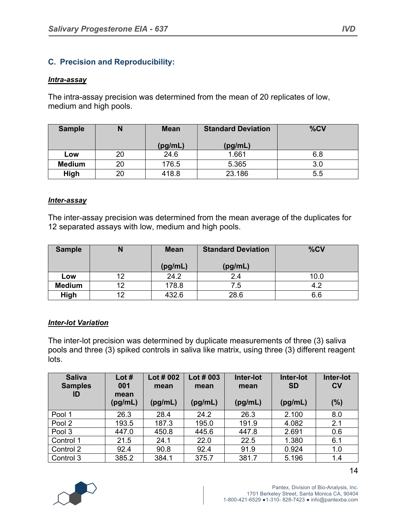#### **C. Precision and Reproducibility:**

#### *Intra-assay*

The intra-assay precision was determined from the mean of 20 replicates of low, medium and high pools.

| <b>Sample</b> |    | <b>Mean</b> | <b>Standard Deviation</b> | %CV |
|---------------|----|-------------|---------------------------|-----|
|               |    | (pg/mL)     | (pg/mL)                   |     |
| Low           | 20 | 24.6        | 1.661                     | 6.8 |
| <b>Medium</b> | 20 | 176.5       | 5.365                     | 3.0 |
| High          | 20 | 418.8       | 23.186                    | 5.5 |

#### *Inter-assay*

The inter-assay precision was determined from the mean average of the duplicates for 12 separated assays with low, medium and high pools.

| <b>Sample</b> |    | <b>Mean</b> | <b>Standard Deviation</b> | %CV  |
|---------------|----|-------------|---------------------------|------|
|               |    | (pg/mL)     | (pg/mL)                   |      |
| Low           |    | 24.2        | 2.4                       | 10.0 |
| <b>Medium</b> | 19 | 178.8       | 7.5                       | 4.2  |
| High          | 19 | 432.6       | 28.6                      | 6.6  |

#### *Inter-lot Variation*

The inter-lot precision was determined by duplicate measurements of three (3) saliva pools and three (3) spiked controls in saliva like matrix, using three (3) different reagent lots.

| <b>Saliva</b><br><b>Samples</b><br>ID | Lot $#$<br>001<br>mean<br>(pg/mL) | Lot # 002<br>mean<br>(pg/mL) | Lot $#003$<br>mean<br>(pg/mL) | Inter-lot<br>mean<br>(pg/mL) | Inter-lot<br><b>SD</b><br>(pg/mL) | Inter-lot<br>$c_{V}$<br>(%) |
|---------------------------------------|-----------------------------------|------------------------------|-------------------------------|------------------------------|-----------------------------------|-----------------------------|
| Pool 1                                | 26.3                              | 28.4                         | 24.2                          | 26.3                         | 2.100                             | 8.0                         |
| Pool 2                                | 193.5                             | 187.3                        | 195.0                         | 191.9                        | 4.082                             | 2.1                         |
| Pool 3                                | 447.0                             | 450.8                        | 445.6                         | 447.8                        | 2.691                             | 0.6                         |
| Control 1                             | 21.5                              | 24.1                         | 22.0                          | 22.5                         | 1.380                             | 6.1                         |
| Control 2                             | 92.4                              | 90.8                         | 92.4                          | 91.9                         | 0.924                             | 1.0                         |
| Control 3                             | 385.2                             | 384.1                        | 375.7                         | 381.7                        | 5.196                             | 1.4                         |

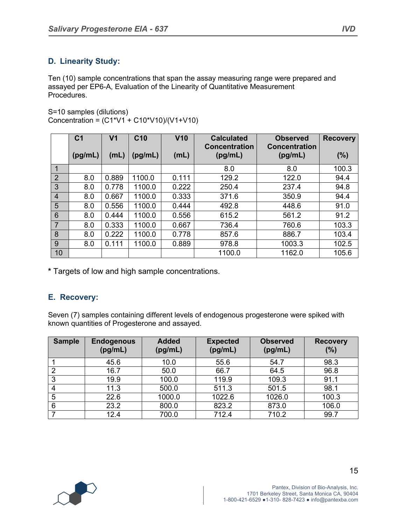#### **D. Linearity Study:**

Ten (10) sample concentrations that span the assay measuring range were prepared and assayed per EP6-A, Evaluation of the Linearity of Quantitative Measurement Procedures.

S=10 samples (dilutions) Concentration = (C1\*V1 + C10\*V10)/(V1+V10)

|                | C <sub>1</sub> | V <sub>1</sub> | C <sub>10</sub> | V10   | <b>Calculated</b>               | <b>Observed</b>                 | <b>Recovery</b> |
|----------------|----------------|----------------|-----------------|-------|---------------------------------|---------------------------------|-----------------|
|                | (pg/mL)        | (mL)           | (pg/mL)         | (mL)  | <b>Concentration</b><br>(pg/mL) | <b>Concentration</b><br>(pg/mL) | (%)             |
| 1              |                |                |                 |       | 8.0                             | 8.0                             | 100.3           |
| $\overline{2}$ | 8.0            | 0.889          | 1100.0          | 0.111 | 129.2                           | 122.0                           | 94.4            |
| 3              | 8.0            | 0.778          | 1100.0          | 0.222 | 250.4                           | 237.4                           | 94.8            |
| $\overline{4}$ | 8.0            | 0.667          | 1100.0          | 0.333 | 371.6                           | 350.9                           | 94.4            |
| 5              | 8.0            | 0.556          | 1100.0          | 0.444 | 492.8                           | 448.6                           | 91.0            |
| 6              | 8.0            | 0.444          | 1100.0          | 0.556 | 615.2                           | 561.2                           | 91.2            |
| $\overline{7}$ | 8.0            | 0.333          | 1100.0          | 0.667 | 736.4                           | 760.6                           | 103.3           |
| 8              | 8.0            | 0.222          | 1100.0          | 0.778 | 857.6                           | 886.7                           | 103.4           |
| 9              | 8.0            | 0.111          | 1100.0          | 0.889 | 978.8                           | 1003.3                          | 102.5           |
| 10             |                |                |                 |       | 1100.0                          | 1162.0                          | 105.6           |

**\*** Targets of low and high sample concentrations.

#### **E. Recovery:**

Seven (7) samples containing different levels of endogenous progesterone were spiked with known quantities of Progesterone and assayed.

| <b>Sample</b> | <b>Endogenous</b><br>(pg/mL) | <b>Added</b><br>(pg/mL) | <b>Expected</b><br>(pg/mL) | <b>Observed</b><br>(pg/mL) | <b>Recovery</b><br>(%) |
|---------------|------------------------------|-------------------------|----------------------------|----------------------------|------------------------|
|               | 45.6                         | 10.0                    | 55.6                       | 54.7                       | 98.3                   |
| っ             | 16.7                         | 50.0                    | 66.7                       | 64.5                       | 96.8                   |
| 3             | 19.9                         | 100.0                   | 119.9                      | 109.3                      | 91.1                   |
| 4             | 11.3                         | 500.0                   | 511.3                      | 501.5                      | 98.1                   |
| 5             | 22.6                         | 1000.0                  | 1022.6                     | 1026.0                     | 100.3                  |
| 6             | 23.2                         | 800.0                   | 823.2                      | 873.0                      | 106.0                  |
|               | 12.4                         | 700.0                   | 712.4                      | 710.2                      | 99.7                   |

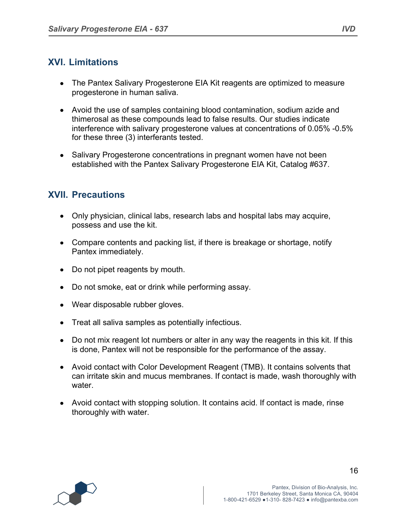#### **XVI. Limitations**

- The Pantex Salivary Progesterone EIA Kit reagents are optimized to measure progesterone in human saliva.
- Avoid the use of samples containing blood contamination, sodium azide and thimerosal as these compounds lead to false results. Our studies indicate interference with salivary progesterone values at concentrations of 0.05% -0.5% for these three (3) interferants tested.
- Salivary Progesterone concentrations in pregnant women have not been established with the Pantex Salivary Progesterone EIA Kit, Catalog #637.

## **XVII. Precautions**

- Only physician, clinical labs, research labs and hospital labs may acquire, possess and use the kit.
- Compare contents and packing list, if there is breakage or shortage, notify Pantex immediately.
- Do not pipet reagents by mouth.
- Do not smoke, eat or drink while performing assay.
- Wear disposable rubber gloves.
- Treat all saliva samples as potentially infectious.
- Do not mix reagent lot numbers or alter in any way the reagents in this kit. If this is done, Pantex will not be responsible for the performance of the assay.
- Avoid contact with Color Development Reagent (TMB). It contains solvents that can irritate skin and mucus membranes. If contact is made, wash thoroughly with water.
- Avoid contact with stopping solution. It contains acid. If contact is made, rinse thoroughly with water.

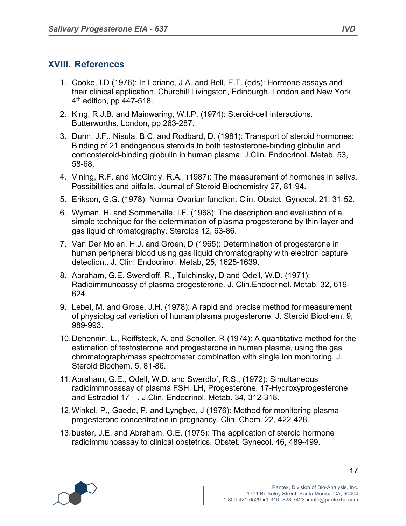## **XVIII. References**

- 1. Cooke, I.D (1976): In Loriane, J.A. and Bell, E.T. (eds): Hormone assays and their clinical application. Churchill Livingston, Edinburgh, London and New York,  $4<sup>th</sup>$  edition, pp 447-518.
- 2. King, R.J.B. and Mainwaring, W.I.P. (1974): Steroid-cell interactions. Butterworths, London, pp 263-287.
- 3. Dunn, J.F., Nisula, B.C. and Rodbard, D. (1981): Transport of steroid hormones: Binding of 21 endogenous steroids to both testosterone-binding globulin and corticosteroid-binding globulin in human plasma. J.Clin. Endocrinol. Metab. 53, 58-68.
- 4. Vining, R.F. and McGintly, R.A., (1987): The measurement of hormones in saliva. Possibilities and pitfalls. Journal of Steroid Biochemistry 27, 81-94.
- 5. Erikson, G.G. (1978): Normal Ovarian function. Clin. Obstet. Gynecol. 21, 31-52.
- 6. Wyman, H. and Sommerville, I.F. (1968): The description and evaluation of a simple technique for the determination of plasma progesterone by thin-layer and gas liquid chromatography. Steroids 12, 63-86.
- 7. Van Der Molen, H.J. and Groen, D (1965): Determination of progesterone in human peripheral blood using gas liquid chromatography with electron capture detection,. J. Clin. Endocrinol. Metab, 25, 1625-1639.
- 8. Abraham, G.E. Swerdloff, R., Tulchinsky, D and Odell, W.D. (1971): Radioimmunoassy of plasma progesterone. J. Clin.Endocrinol. Metab. 32, 619- 624.
- 9. Lebel, M. and Grose, J.H. (1978): A rapid and precise method for measurement of physiological variation of human plasma progesterone. J. Steroid Biochem, 9, 989-993.
- 10.Dehennin, L., Reiffsteck, A. and Scholler, R (1974): A quantitative method for the estimation of testosterone and progesterone in human plasma, using the gas chromatograph/mass spectrometer combination with single ion monitoring. J. Steroid Biochem. 5, 81-86.
- 11.Abraham, G.E., Odell, W.D. and Swerdlof, R.S., (1972): Simultaneous radioimmnoassay of plasma FSH, LH, Progesterone, 17-Hydroxyprogesterone and Estradiol 17 . J.Clin. Endocrinol. Metab. 34, 312-318.
- 12.Winkel, P., Gaede, P, and Lyngbye, J (1976): Method for monitoring plasma progesterone concentration in pregnancy. Clin. Chem. 22, 422-428.
- 13.buster, J.E. and Abraham, G.E. (1975): The application of steroid hormone radioimmunoassay to clinical obstetrics. Obstet. Gynecol. 46, 489-499.